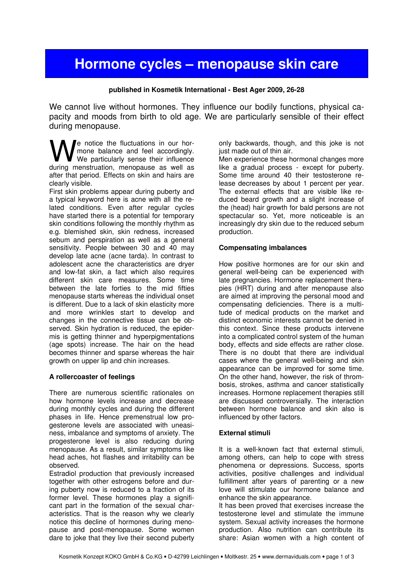# Hormone cycles – menopause skin care

#### published in Kosmetik International - Best Ager 2009, 26-28

We cannot live without hormones. They influence our bodily functions, physical capacity and moods from birth to old age. We are particularly sensible of their effect during menopause.

e notice the fluctuations in our hormone balance and feel accordingly.  $\blacksquare$  We particularly sense their influence **W** motice the fluctuations in our hor-<br>We particularly sense their influence<br>during menstruation, menopause as well as after that period. Effects on skin and hairs are clearly visible.

First skin problems appear during puberty and a typical keyword here is acne with all the related conditions. Even after regular cycles have started there is a potential for temporary skin conditions following the monthly rhythm as e.g. blemished skin, skin redness, increased sebum and perspiration as well as a general sensitivity. People between 30 and 40 may develop late acne (acne tarda). In contrast to adolescent acne the characteristics are dryer and low-fat skin, a fact which also requires different skin care measures. Some time between the late forties to the mid fifties menopause starts whereas the individual onset is different. Due to a lack of skin elasticity more and more wrinkles start to develop and changes in the connective tissue can be observed. Skin hydration is reduced, the epidermis is getting thinner and hyperpigmentations (age spots) increase. The hair on the head becomes thinner and sparse whereas the hair growth on upper lip and chin increases.

### A rollercoaster of feelings

There are numerous scientific rationales on how hormone levels increase and decrease during monthly cycles and during the different phases in life. Hence premenstrual low progesterone levels are associated with uneasiness, imbalance and symptoms of anxiety. The progesterone level is also reducing during menopause. As a result, similar symptoms like head aches, hot flashes and irritability can be observed.

Estradiol production that previously increased together with other estrogens before and during puberty now is reduced to a fraction of its former level. These hormones play a significant part in the formation of the sexual characteristics. That is the reason why we clearly notice this decline of hormones during menopause and post-menopause. Some women dare to joke that they live their second puberty

only backwards, though, and this joke is not just made out of thin air.

Men experience these hormonal changes more like a gradual process - except for puberty. Some time around 40 their testosterone release decreases by about 1 percent per year. The external effects that are visible like reduced beard growth and a slight increase of the (head) hair growth for bald persons are not spectacular so. Yet, more noticeable is an increasingly dry skin due to the reduced sebum production.

### Compensating imbalances

How positive hormones are for our skin and general well-being can be experienced with late pregnancies. Hormone replacement therapies (HRT) during and after menopause also are aimed at improving the personal mood and compensating deficiencies. There is a multitude of medical products on the market and distinct economic interests cannot be denied in this context. Since these products intervene into a complicated control system of the human body, effects and side effects are rather close. There is no doubt that there are individual cases where the general well-being and skin appearance can be improved for some time. On the other hand, however, the risk of thrombosis, strokes, asthma and cancer statistically increases. Hormone replacement therapies still are discussed controversially. The interaction between hormone balance and skin also is influenced by other factors.

### External stimuli

It is a well-known fact that external stimuli, among others, can help to cope with stress phenomena or depressions. Success, sports activities, positive challenges and individual fulfillment after years of parenting or a new love will stimulate our hormone balance and enhance the skin appearance.

It has been proved that exercises increase the testosterone level and stimulate the immune system. Sexual activity increases the hormone production. Also nutrition can contribute its share: Asian women with a high content of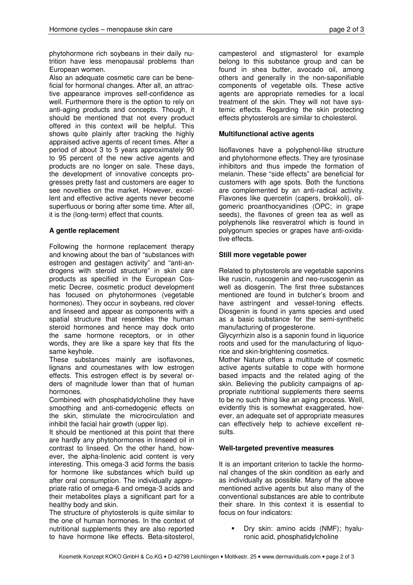phytohormone rich soybeans in their daily nutrition have less menopausal problems than European women.

Also an adequate cosmetic care can be beneficial for hormonal changes. After all, an attractive appearance improves self-confidence as well. Furthermore there is the option to rely on anti-aging products and concepts. Though, it should be mentioned that not every product offered in this context will be helpful. This shows quite plainly after tracking the highly appraised active agents of recent times. After a period of about 3 to 5 years approximately 90 to 95 percent of the new active agents and products are no longer on sale. These days, the development of innovative concepts progresses pretty fast and customers are eager to see novelties on the market. However, excellent and effective active agents never become superfluous or boring after some time. After all, it is the (long-term) effect that counts.

## A gentle replacement

Following the hormone replacement therapy and knowing about the ban of "substances with estrogen and gestagen activity" and "anti-androgens with steroid structure" in skin care products as specified in the European Cosmetic Decree, cosmetic product development has focused on phytohormones (vegetable hormones). They occur in soybeans, red clover and linseed and appear as components with a spatial structure that resembles the human steroid hormones and hence may dock onto the same hormone receptors, or in other words, they are like a spare key that fits the same keyhole.

These substances mainly are isoflavones, lignans and coumestanes with low estrogen effects. This estrogen effect is by several orders of magnitude lower than that of human hormones.

Combined with phosphatidylcholine they have smoothing and anti-comedogenic effects on the skin, stimulate the microcirculation and inhibit the facial hair growth (upper lip).

It should be mentioned at this point that there are hardly any phytohormones in linseed oil in contrast to linseed. On the other hand, however, the alpha-linolenic acid content is very interesting. This omega-3 acid forms the basis for hormone like substances which build up after oral consumption. The individually appropriate ratio of omega-6 and omega-3 acids and their metabolites plays a significant part for a healthy body and skin.

The structure of phytosterols is quite similar to the one of human hormones. In the context of nutritional supplements they are also reported to have hormone like effects. Beta-sitosterol,

campesterol and stigmasterol for example belong to this substance group and can be found in shea butter, avocado oil, among others and generally in the non-saponifiable components of vegetable oils. These active agents are appropriate remedies for a local treatment of the skin. They will not have systemic effects. Regarding the skin protecting effects phytosterols are similar to cholesterol.

## Multifunctional active agents

Isoflavones have a polyphenol-like structure and phytohormone effects. They are tyrosinase inhibitors and thus impede the formation of melanin. These "side effects" are beneficial for customers with age spots. Both the functions are complemented by an anti-radical activity. Flavones like quercetin (capers, brokkoli), oligomeric proanthocyanidines (OPC; in grape seeds), the flavones of green tea as well as polyphenols like resveratrol which is found in polygonum species or grapes have anti-oxidative effects.

#### Still more vegetable power

Related to phytosterols are vegetable saponins like ruscin, ruscogenin and neo-ruscogenin as well as diosgenin. The first three substances mentioned are found in butcher's broom and have astringent and vessel-toning effects. Diosgenin is found in yams species and used as a basic substance for the semi-synthetic manufacturing of progesterone.

Glycyrrhizin also is a saponin found in liquorice roots and used for the manufacturing of liquorice and skin-brightening cosmetics.

Mother Nature offers a multitude of cosmetic active agents suitable to cope with hormone based impacts and the related aging of the skin. Believing the publicity campaigns of appropriate nutritional supplements there seems to be no such thing like an aging process. Well, evidently this is somewhat exaggerated, however, an adequate set of appropriate measures can effectively help to achieve excellent results.

#### Well-targeted preventive measures

It is an important criterion to tackle the hormonal changes of the skin condition as early and as individually as possible. Many of the above mentioned active agents but also many of the conventional substances are able to contribute their share. In this context it is essential to focus on four indicators:

> Dry skin: amino acids (NMF); hyaluronic acid, phosphatidylcholine